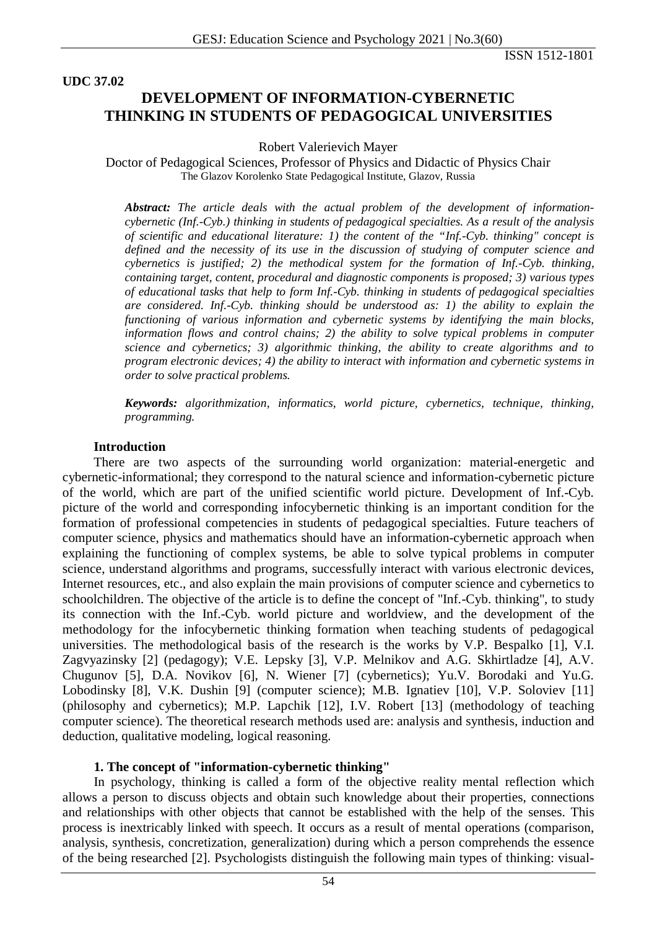**UDC 37.02**

ISSN 1512-1801

# **DEVELOPMENT OF INFORMATION-CYBERNETIC THINKING IN STUDENTS OF PEDAGOGICAL UNIVERSITIES**

Robert Valerievich Mayer

Doctor of Pedagogical Sciences, Professor of Physics and Didactic of Physics Chair The Glazov Korolenko State Pedagogical Institute, Glazov, Russia

*Abstract: The article deals with the actual problem of the development of informationcybernetic (Inf.-Cyb.) thinking in students of pedagogical specialties. As a result of the analysis of scientific and educational literature: 1) the content of the "Inf.-Cyb. thinking" concept is defined and the necessity of its use in the discussion of studying of computer science and cybernetics is justified; 2) the methodical system for the formation of Inf.-Cyb. thinking, containing target, content, procedural and diagnostic components is proposed; 3) various types of educational tasks that help to form Inf.-Cyb. thinking in students of pedagogical specialties are considered. Inf.-Cyb. thinking should be understood as: 1) the ability to explain the functioning of various information and cybernetic systems by identifying the main blocks, information flows and control chains; 2) the ability to solve typical problems in computer science and cybernetics; 3) algorithmic thinking, the ability to create algorithms and to program electronic devices; 4) the ability to interact with information and cybernetic systems in order to solve practical problems.* 

*Keywords: algorithmization, informatics, world picture, cybernetics, technique, thinking, programming.* 

#### **Introduction**

There are two aspects of the surrounding world organization: material-energetic and cybernetic-informational; they correspond to the natural science and information-cybernetic picture of the world, which are part of the unified scientific world picture. Development of Inf.-Cyb. picture of the world and corresponding infocybernetic thinking is an important condition for the formation of professional competencies in students of pedagogical specialties. Future teachers of computer science, physics and mathematics should have an information-cybernetic approach when explaining the functioning of complex systems, be able to solve typical problems in computer science, understand algorithms and programs, successfully interact with various electronic devices, Internet resources, etc., and also explain the main provisions of computer science and cybernetics to schoolchildren. The objective of the article is to define the concept of "Inf.-Cyb. thinking", to study its connection with the Inf.-Cyb. world picture and worldview, and the development of the methodology for the infocybernetic thinking formation when teaching students of pedagogical universities. The methodological basis of the research is the works by V.P. Bespalko [1], V.I. Zagvyazinsky [2] (pedagogy); V.E. Lepsky [3], V.P. Melnikov and A.G. Skhirtladze [4], A.V. Chugunov [5], D.A. Novikov [6], N. Wiener [7] (cybernetics); Yu.V. Borodaki and Yu.G. Lobodinsky [8], V.K. Dushin [9] (computer science); M.B. Ignatiev [10], V.P. Soloviev [11] (philosophy and cybernetics); M.P. Lapchik [12], I.V. Robert [13] (methodology of teaching computer science). The theoretical research methods used are: analysis and synthesis, induction and deduction, qualitative modeling, logical reasoning.

#### **1. The concept of "information-cybernetic thinking"**

In psychology, thinking is called a form of the objective reality mental reflection which allows a person to discuss objects and obtain such knowledge about their properties, connections and relationships with other objects that cannot be established with the help of the senses. This process is inextricably linked with speech. It occurs as a result of mental operations (comparison, analysis, synthesis, concretization, generalization) during which a person comprehends the essence of the being researched [2]. Psychologists distinguish the following main types of thinking: visual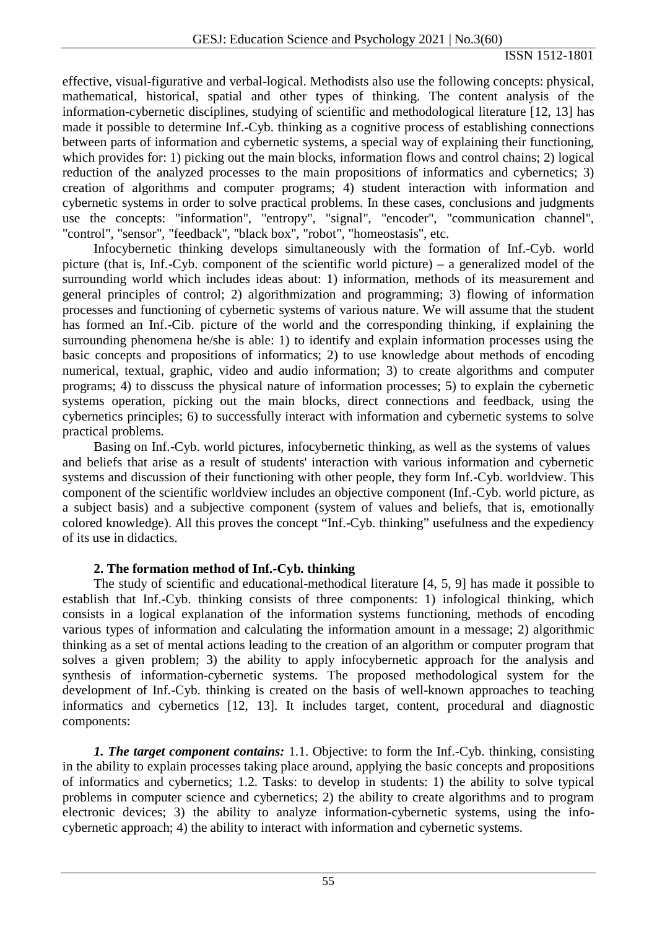effective, visual-figurative and verbal-logical. Methodists also use the following concepts: physical, mathematical, historical, spatial and other types of thinking. The content analysis of the information-cybernetic disciplines, studying of scientific and methodological literature [12, 13] has made it possible to determine Inf.-Cyb. thinking as a cognitive process of establishing connections between parts of information and cybernetic systems, a special way of explaining their functioning, which provides for: 1) picking out the main blocks, information flows and control chains; 2) logical reduction of the analyzed processes to the main propositions of informatics and cybernetics; 3) creation of algorithms and computer programs; 4) student interaction with information and cybernetic systems in order to solve practical problems. In these cases, conclusions and judgments use the concepts: "information", "entropy", "signal", "encoder", "communication channel", "control", "sensor", "feedback", "black box", "robot", "homeostasis", etc.

Infocybernetic thinking develops simultaneously with the formation of Inf.-Cyb. world picture (that is, Inf.-Cyb. component of the scientific world picture) – a generalized model of the surrounding world which includes ideas about: 1) information, methods of its measurement and general principles of control; 2) algorithmization and programming; 3) flowing of information processes and functioning of cybernetic systems of various nature. We will assume that the student has formed an Inf.-Cib. picture of the world and the corresponding thinking, if explaining the surrounding phenomena he/she is able: 1) to identify and explain information processes using the basic concepts and propositions of informatics; 2) to use knowledge about methods of encoding numerical, textual, graphic, video and audio information; 3) to create algorithms and computer programs; 4) to disscuss the physical nature of information processes; 5) to explain the cybernetic systems operation, picking out the main blocks, direct connections and feedback, using the cybernetics principles; 6) to successfully interact with information and cybernetic systems to solve practical problems.

Basing on Inf.-Cyb. world pictures, infocybernetic thinking, as well as the systems of values and beliefs that arise as a result of students' interaction with various information and cybernetic systems and discussion of their functioning with other people, they form Inf.-Cyb. worldview. This component of the scientific worldview includes an objective component (Inf.-Cyb. world picture, as a subject basis) and a subjective component (system of values and beliefs, that is, emotionally colored knowledge). All this proves the concept "Inf.-Cyb. thinking" usefulness and the expediency of its use in didactics.

# **2. The formation method of Inf.-Cyb. thinking**

The study of scientific and educational-methodical literature [4, 5, 9] has made it possible to establish that Inf.-Cyb. thinking consists of three components: 1) infological thinking, which consists in a logical explanation of the information systems functioning, methods of encoding various types of information and calculating the information amount in a message; 2) algorithmic thinking as a set of mental actions leading to the creation of an algorithm or computer program that solves a given problem; 3) the ability to apply infocybernetic approach for the analysis and synthesis of information-cybernetic systems. The proposed methodological system for the development of Inf.-Cyb. thinking is created on the basis of well-known approaches to teaching informatics and cybernetics [12, 13]. It includes target, content, procedural and diagnostic components:

*1. The target component contains:* 1.1. Objective: to form the Inf.-Cyb. thinking, consisting in the ability to explain processes taking place around, applying the basic concepts and propositions of informatics and cybernetics; 1.2. Tasks: to develop in students: 1) the ability to solve typical problems in computer science and cybernetics; 2) the ability to create algorithms and to program electronic devices; 3) the ability to analyze information-cybernetic systems, using the infocybernetic approach; 4) the ability to interact with information and cybernetic systems.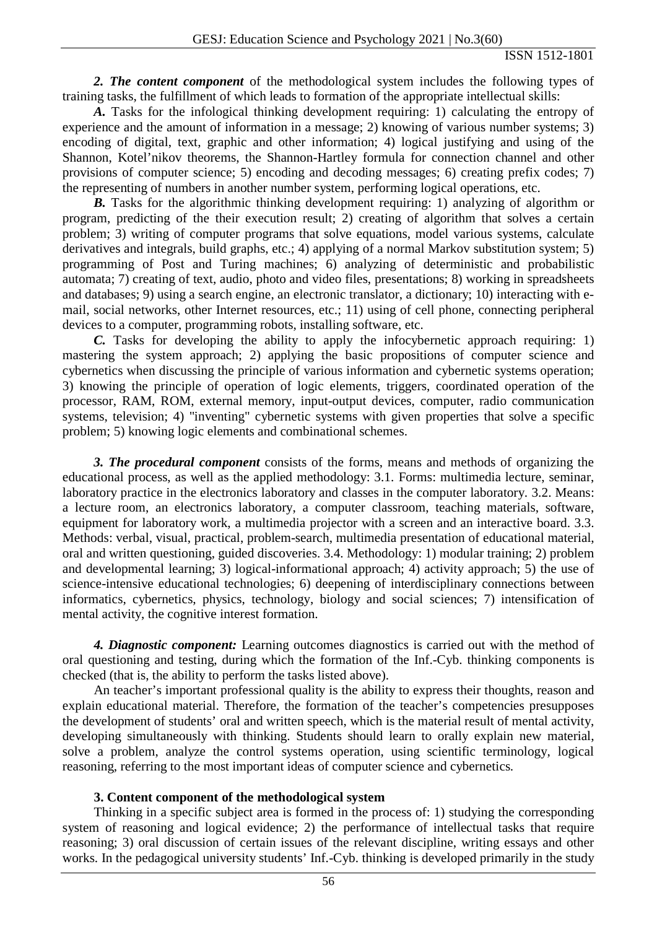ISSN 1512-1801

*2. The content component* of the methodological system includes the following types of training tasks, the fulfillment of which leads to formation of the appropriate intellectual skills:

*A.* Tasks for the infological thinking development requiring: 1) calculating the entropy of experience and the amount of information in a message; 2) knowing of various number systems; 3) encoding of digital, text, graphic and other information; 4) logical justifying and using of the Shannon, Kotel'nikov theorems, the Shannon-Hartley formula for connection channel and other provisions of computer science; 5) encoding and decoding messages; 6) creating prefix codes; 7) the representing of numbers in another number system, performing logical operations, etc.

*B.* Tasks for the algorithmic thinking development requiring: 1) analyzing of algorithm or program, predicting of the their execution result; 2) creating of algorithm that solves a certain problem; 3) writing of computer programs that solve equations, model various systems, calculate derivatives and integrals, build graphs, etc.; 4) applying of a normal Markov substitution system; 5) programming of Post and Turing machines; 6) analyzing of deterministic and probabilistic automata; 7) creating of text, audio, photo and video files, presentations; 8) working in spreadsheets and databases; 9) using a search engine, an electronic translator, a dictionary; 10) interacting with email, social networks, other Internet resources, etc.; 11) using of cell phone, connecting peripheral devices to a computer, programming robots, installing software, etc.

*C.* Tasks for developing the ability to apply the infocybernetic approach requiring: 1) mastering the system approach; 2) applying the basic propositions of computer science and cybernetics when discussing the principle of various information and cybernetic systems operation; 3) knowing the principle of operation of logic elements, triggers, coordinated operation of the processor, RAM, ROM, external memory, input-output devices, computer, radio communication systems, television; 4) "inventing" cybernetic systems with given properties that solve a specific problem; 5) knowing logic elements and combinational schemes.

*3. The procedural component* consists of the forms, means and methods of organizing the educational process, as well as the applied methodology: 3.1. Forms: multimedia lecture, seminar, laboratory practice in the electronics laboratory and classes in the computer laboratory. 3.2. Means: a lecture room, an electronics laboratory, a computer classroom, teaching materials, software, equipment for laboratory work, a multimedia projector with a screen and an interactive board. 3.3. Methods: verbal, visual, practical, problem-search, multimedia presentation of educational material, oral and written questioning, guided discoveries. 3.4. Methodology: 1) modular training; 2) problem and developmental learning; 3) logical-informational approach; 4) activity approach; 5) the use of science-intensive educational technologies; 6) deepening of interdisciplinary connections between informatics, cybernetics, physics, technology, biology and social sciences; 7) intensification of mental activity, the cognitive interest formation.

*4. Diagnostic component:* Learning outcomes diagnostics is carried out with the method of oral questioning and testing, during which the formation of the Inf.-Cyb. thinking components is checked (that is, the ability to perform the tasks listed above).

An teacher's important professional quality is the ability to express their thoughts, reason and explain educational material. Therefore, the formation of the teacher's competencies presupposes the development of students' oral and written speech, which is the material result of mental activity, developing simultaneously with thinking. Students should learn to orally explain new material, solve a problem, analyze the control systems operation, using scientific terminology, logical reasoning, referring to the most important ideas of computer science and cybernetics.

### **3. Content component of the methodological system**

Thinking in a specific subject area is formed in the process of: 1) studying the corresponding system of reasoning and logical evidence; 2) the performance of intellectual tasks that require reasoning; 3) oral discussion of certain issues of the relevant discipline, writing essays and other works. In the pedagogical university students' Inf.-Cyb. thinking is developed primarily in the study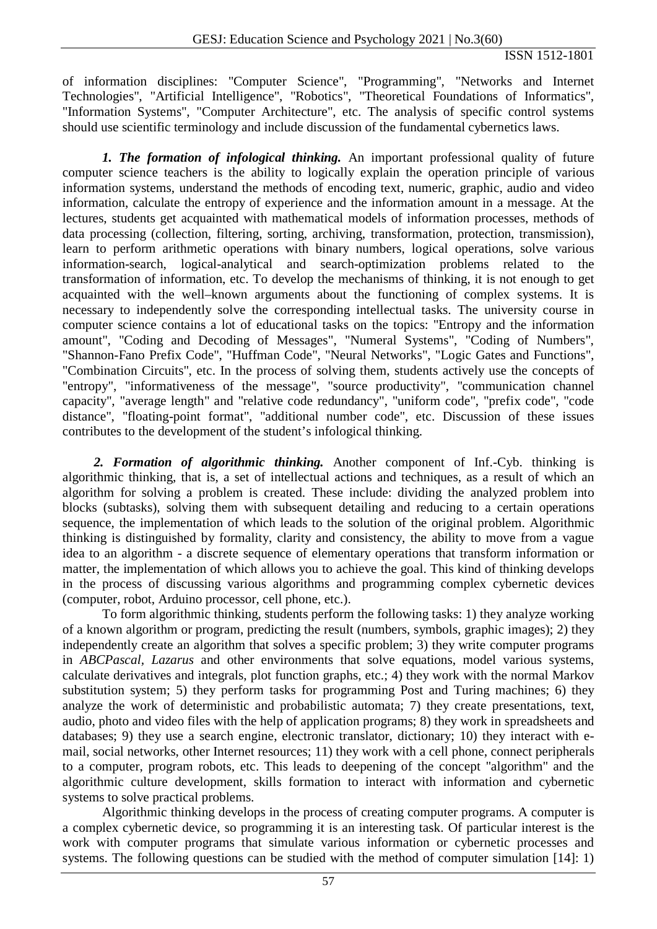of information disciplines: "Computer Science", "Programming", "Networks and Internet Technologies", "Artificial Intelligence", "Robotics", "Theoretical Foundations of Informatics", "Information Systems", "Computer Architecture", etc. The analysis of specific control systems should use scientific terminology and include discussion of the fundamental cybernetics laws.

*1. The formation of infological thinking.* An important professional quality of future computer science teachers is the ability to logically explain the operation principle of various information systems, understand the methods of encoding text, numeric, graphic, audio and video information, calculate the entropy of experience and the information amount in a message. At the lectures, students get acquainted with mathematical models of information processes, methods of data processing (collection, filtering, sorting, archiving, transformation, protection, transmission), learn to perform arithmetic operations with binary numbers, logical operations, solve various information-search, logical-analytical and search-optimization problems related to the transformation of information, etc. To develop the mechanisms of thinking, it is not enough to get acquainted with the well–known arguments about the functioning of complex systems. It is necessary to independently solve the corresponding intellectual tasks. The university course in computer science contains a lot of educational tasks on the topics: "Entropy and the information amount", "Coding and Decoding of Messages", "Numeral Systems", "Coding of Numbers", "Shannon-Fano Prefix Code", "Huffman Code", "Neural Networks", "Logic Gates and Functions", "Combination Circuits", etc. In the process of solving them, students actively use the concepts of "entropy", "informativeness of the message", "source productivity", "communication channel capacity", "average length" and "relative code redundancy", "uniform code", "prefix code", "code distance", "floating-point format", "additional number code", etc. Discussion of these issues contributes to the development of the student's infological thinking.

*2. Formation of algorithmic thinking.* Another component of Inf.-Cyb. thinking is algorithmic thinking, that is, a set of intellectual actions and techniques, as a result of which an algorithm for solving a problem is created. These include: dividing the analyzed problem into blocks (subtasks), solving them with subsequent detailing and reducing to a certain operations sequence, the implementation of which leads to the solution of the original problem. Algorithmic thinking is distinguished by formality, clarity and consistency, the ability to move from a vague idea to an algorithm - a discrete sequence of elementary operations that transform information or matter, the implementation of which allows you to achieve the goal. This kind of thinking develops in the process of discussing various algorithms and programming complex cybernetic devices (computer, robot, Arduino processor, cell phone, etc.).

To form algorithmic thinking, students perform the following tasks: 1) they analyze working of a known algorithm or program, predicting the result (numbers, symbols, graphic images); 2) they independently create an algorithm that solves a specific problem; 3) they write computer programs in *ABCPascal, Lazarus* and other environments that solve equations, model various systems, calculate derivatives and integrals, plot function graphs, etc.; 4) they work with the normal Markov substitution system; 5) they perform tasks for programming Post and Turing machines; 6) they analyze the work of deterministic and probabilistic automata; 7) they create presentations, text, audio, photo and video files with the help of application programs; 8) they work in spreadsheets and databases; 9) they use a search engine, electronic translator, dictionary; 10) they interact with email, social networks, other Internet resources; 11) they work with a cell phone, connect peripherals to a computer, program robots, etc. This leads to deepening of the concept "algorithm" and the algorithmic culture development, skills formation to interact with information and cybernetic systems to solve practical problems.

Algorithmic thinking develops in the process of creating computer programs. A computer is a complex cybernetic device, so programming it is an interesting task. Of particular interest is the work with computer programs that simulate various information or cybernetic processes and systems. The following questions can be studied with the method of computer simulation [14]: 1)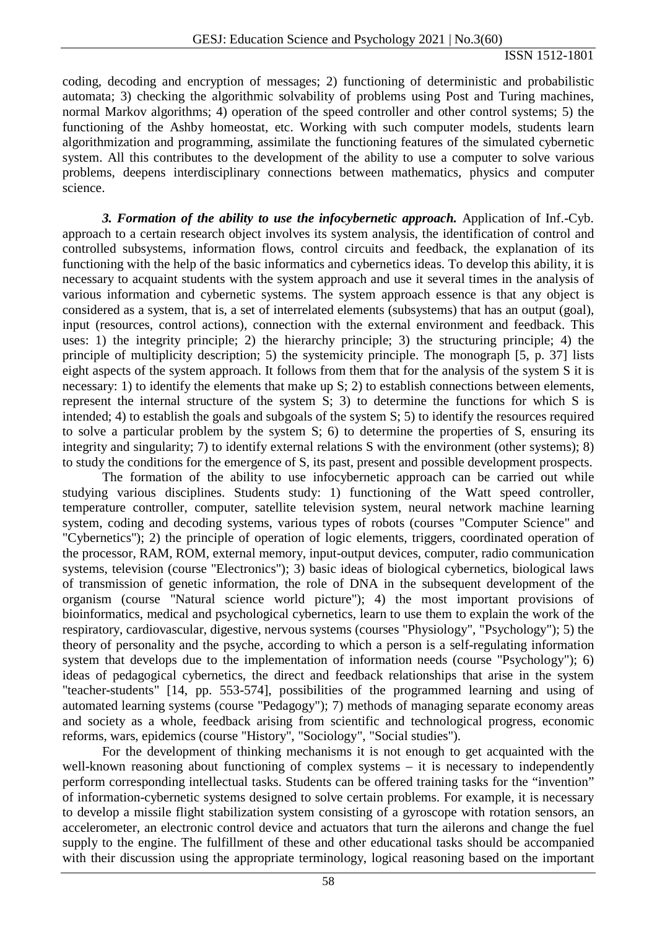coding, decoding and encryption of messages; 2) functioning of deterministic and probabilistic automata; 3) checking the algorithmic solvability of problems using Post and Turing machines, normal Markov algorithms; 4) operation of the speed controller and other control systems; 5) the functioning of the Ashby homeostat, etc. Working with such computer models, students learn algorithmization and programming, assimilate the functioning features of the simulated cybernetic system. All this contributes to the development of the ability to use a computer to solve various problems, deepens interdisciplinary connections between mathematics, physics and computer science.

*3. Formation of the ability to use the infocybernetic approach.* Application of Inf.-Cyb. approach to a certain research object involves its system analysis, the identification of control and controlled subsystems, information flows, control circuits and feedback, the explanation of its functioning with the help of the basic informatics and cybernetics ideas. To develop this ability, it is necessary to acquaint students with the system approach and use it several times in the analysis of various information and cybernetic systems. The system approach essence is that any object is considered as a system, that is, a set of interrelated elements (subsystems) that has an output (goal), input (resources, control actions), connection with the external environment and feedback. This uses: 1) the integrity principle; 2) the hierarchy principle; 3) the structuring principle; 4) the principle of multiplicity description; 5) the systemicity principle. The monograph [5, p. 37] lists eight aspects of the system approach. It follows from them that for the analysis of the system S it is necessary: 1) to identify the elements that make up S; 2) to establish connections between elements, represent the internal structure of the system S; 3) to determine the functions for which S is intended; 4) to establish the goals and subgoals of the system S; 5) to identify the resources required to solve a particular problem by the system S; 6) to determine the properties of S, ensuring its integrity and singularity; 7) to identify external relations S with the environment (other systems); 8) to study the conditions for the emergence of S, its past, present and possible development prospects.

The formation of the ability to use infocybernetic approach can be carried out while studying various disciplines. Students study: 1) functioning of the Watt speed controller, temperature controller, computer, satellite television system, neural network machine learning system, coding and decoding systems, various types of robots (courses "Computer Science" and "Cybernetics"); 2) the principle of operation of logic elements, triggers, coordinated operation of the processor, RAM, ROM, external memory, input-output devices, computer, radio communication systems, television (course "Electronics"); 3) basic ideas of biological cybernetics, biological laws of transmission of genetic information, the role of DNA in the subsequent development of the organism (course "Natural science world picture"); 4) the most important provisions of bioinformatics, medical and psychological cybernetics, learn to use them to explain the work of the respiratory, cardiovascular, digestive, nervous systems (courses "Physiology", "Psychology"); 5) the theory of personality and the psyche, according to which a person is a self-regulating information system that develops due to the implementation of information needs (course "Psychology"); 6) ideas of pedagogical cybernetics, the direct and feedback relationships that arise in the system "teacher-students" [14, pp. 553-574], possibilities of the programmed learning and using of automated learning systems (course "Pedagogy"); 7) methods of managing separate economy areas and society as a whole, feedback arising from scientific and technological progress, economic reforms, wars, epidemics (course "History", "Sociology", "Social studies").

For the development of thinking mechanisms it is not enough to get acquainted with the well-known reasoning about functioning of complex systems – it is necessary to independently perform corresponding intellectual tasks. Students can be offered training tasks for the "invention" of information-cybernetic systems designed to solve certain problems. For example, it is necessary to develop a missile flight stabilization system consisting of a gyroscope with rotation sensors, an accelerometer, an electronic control device and actuators that turn the ailerons and change the fuel supply to the engine. The fulfillment of these and other educational tasks should be accompanied with their discussion using the appropriate terminology, logical reasoning based on the important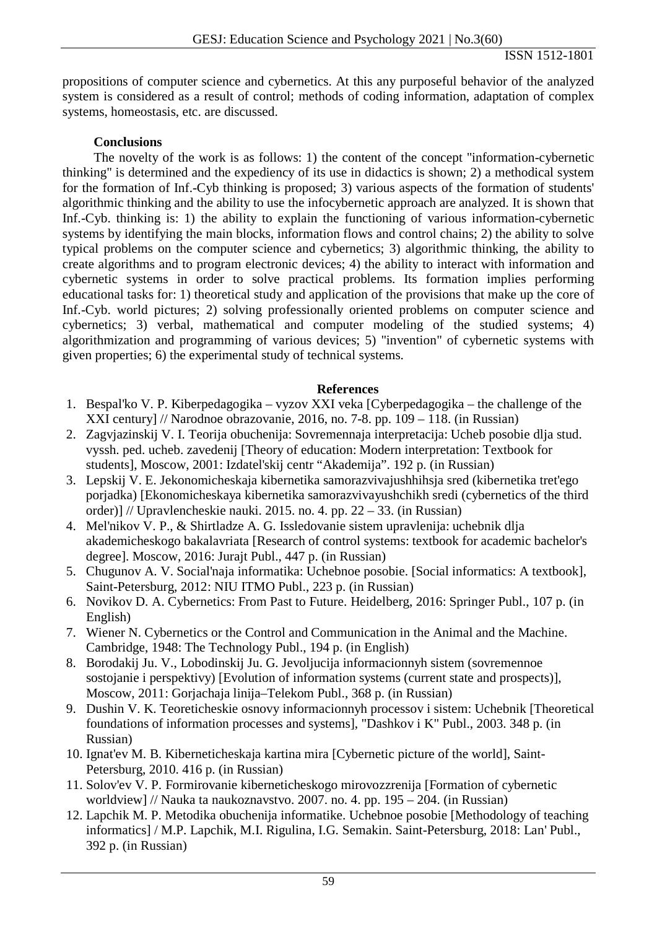ISSN 1512-1801

propositions of computer science and cybernetics. At this any purposeful behavior of the analyzed system is considered as a result of control; methods of coding information, adaptation of complex systems, homeostasis, etc. are discussed.

### **Conclusions**

The novelty of the work is as follows: 1) the content of the concept "information-cybernetic thinking" is determined and the expediency of its use in didactics is shown; 2) a methodical system for the formation of Inf.-Cyb thinking is proposed; 3) various aspects of the formation of students' algorithmic thinking and the ability to use the infocybernetic approach are analyzed. It is shown that Inf.-Cyb. thinking is: 1) the ability to explain the functioning of various information-cybernetic systems by identifying the main blocks, information flows and control chains; 2) the ability to solve typical problems on the computer science and cybernetics; 3) algorithmic thinking, the ability to create algorithms and to program electronic devices; 4) the ability to interact with information and cybernetic systems in order to solve practical problems. Its formation implies performing educational tasks for: 1) theoretical study and application of the provisions that make up the core of Inf.-Cyb. world pictures; 2) solving professionally oriented problems on computer science and cybernetics; 3) verbal, mathematical and computer modeling of the studied systems; 4) algorithmization and programming of various devices; 5) "invention" of cybernetic systems with given properties; 6) the experimental study of technical systems.

## **References**

- 1. Bespal'ko V. P. Kiberpedagogika vyzov XXI veka [Cyberpedagogika the challenge of the XXI century] // Narodnoe obrazovanie, 2016, no. 7-8. pp. 109 – 118. (in Russian)
- 2. Zagvjazinskij V. I. Teorija obuchenija: Sovremennaja interpretacija: Ucheb posobie dlja stud. vyssh. ped. ucheb. zavedenij [Theory of education: Modern interpretation: Textbook for students], Moscow, 2001: Izdatel'skij centr "Akademija". 192 p. (in Russian)
- 3. Lepskij V. E. Jekonomicheskaja kibernetika samorazvivajushhihsja sred (kibernetika tret'ego porjadka) [Ekonomicheskaya kibernetika samorazvivayushchikh sredi (cybernetics of the third order)] // Upravlencheskie nauki. 2015. no. 4. pp. 22 – 33. (in Russian)
- 4. Mel'nikov V. P., & Shirtladze A. G. Issledovanie sistem upravlenija: uchebnik dlja akademicheskogo bakalavriata [Research of control systems: textbook for academic bachelor's degree]. Moscow, 2016: Jurajt Publ., 447 p. (in Russian)
- 5. Chugunov A. V. Social'naja informatika: Uchebnoe posobie. [Social informatics: A textbook], Saint-Petersburg, 2012: NIU ITMO Publ., 223 p. (in Russian)
- 6. Novikov D. A. Cybernetics: From Past to Future. Heidelberg, 2016: Springer Publ., 107 p. (in English)
- 7. Wiener N. Cybernetics or the Control and Communication in the Animal and the Machine. Cambridge, 1948: The Technology Publ., 194 p. (in English)
- 8. Borodakij Ju. V., Lobodinskij Ju. G. Jevoljucija informacionnyh sistem (sovremennoe sostojanie i perspektivy) [Evolution of information systems (current state and prospects)], Moscow, 2011: Gorjachaja linija–Telekom Publ., 368 p. (in Russian)
- 9. Dushin V. K. Teoreticheskie osnovy informacionnyh processov i sistem: Uchebnik [Theoretical foundations of information processes and systems], "Dashkov i K" Publ., 2003. 348 p. (in Russian)
- 10. Ignat'ev M. B. Kiberneticheskaja kartina mira [Cybernetic picture of the world], Saint-Petersburg, 2010. 416 p. (in Russian)
- 11. Solov'ev V. P. Formirovanie kiberneticheskogo mirovozzrenija [Formation of cybernetic worldview] // Nauka ta naukoznavstvo. 2007. no. 4. pp. 195 – 204. (in Russian)
- 12. Lapchik M. P. Metodika obuchenija informatike. Uchebnoe posobie [Methodology of teaching informatics] / M.P. Lapchik, M.I. Rigulina, I.G. Semakin. Saint-Petersburg, 2018: Lan' Publ., 392 p. (in Russian)